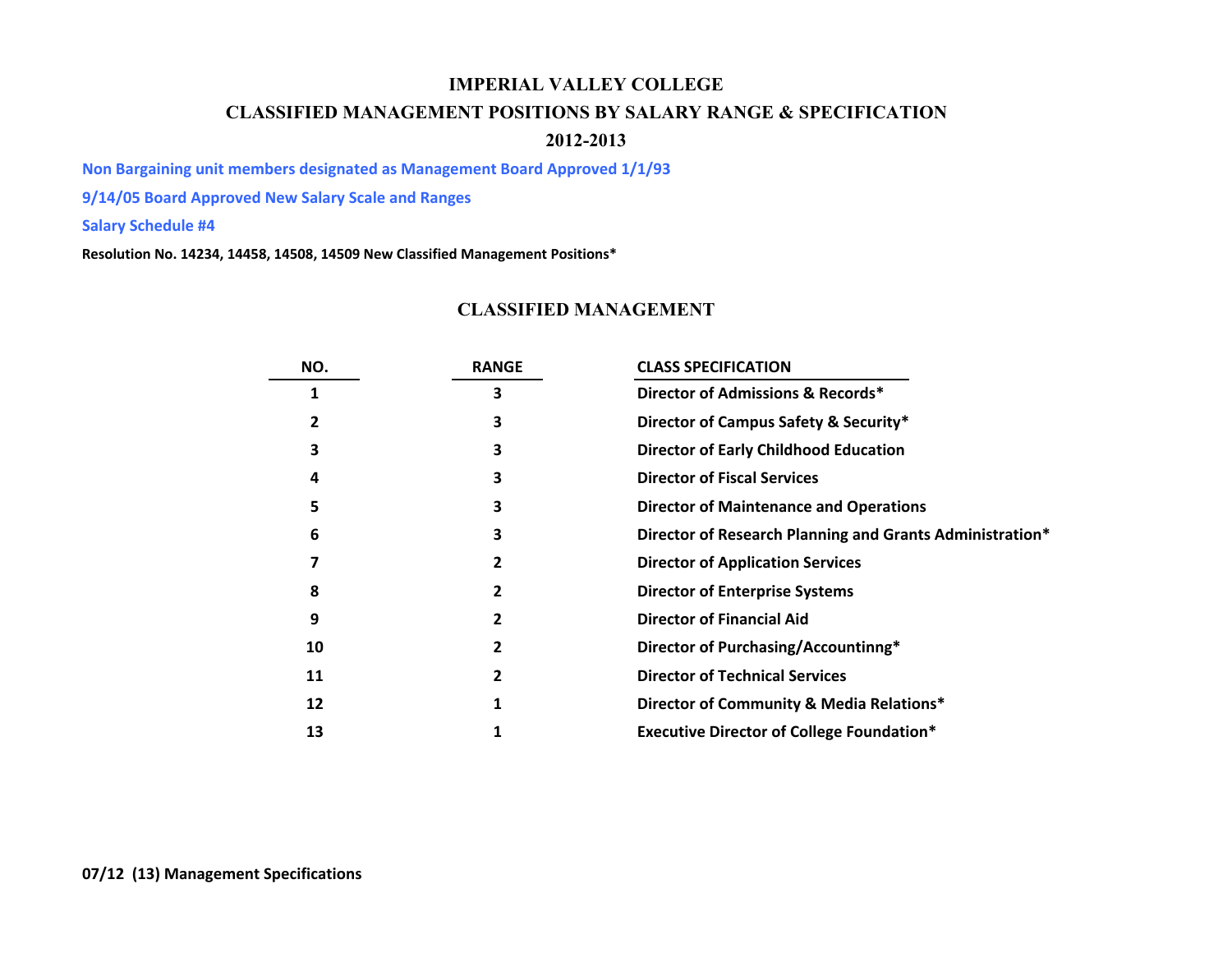## **IMPERIAL VALLEY COLLEGECLASSIFIED MANAGEMENT POSITIONS BY SALARY RANGE & SPECIFICATION 2012-2013**

**Non Bargaining unit members designated as Management Board Approved 1/1/93**

**9/14/05 Board Approved New Salary Scale and Ranges**

**Salary Schedule #4**

**Resolution No. 14234, 14458, 14508, 14509 New Classified Management Positions\***

## **CLASSIFIED MANAGEMENT**

| NO. | <b>RANGE</b> | <b>CLASS SPECIFICATION</b>                               |
|-----|--------------|----------------------------------------------------------|
|     |              | Director of Admissions & Records*                        |
| 2   | 3            | Director of Campus Safety & Security*                    |
| З   | 3            | <b>Director of Early Childhood Education</b>             |
| 4   | 3            | <b>Director of Fiscal Services</b>                       |
| 5   |              | <b>Director of Maintenance and Operations</b>            |
| 6   | 3            | Director of Research Planning and Grants Administration* |
|     |              | <b>Director of Application Services</b>                  |
| 8   |              | <b>Director of Enterprise Systems</b>                    |
| 9   |              | <b>Director of Financial Aid</b>                         |
| 10  |              | Director of Purchasing/Accountinng*                      |
| 11  |              | <b>Director of Technical Services</b>                    |
| 12  |              | Director of Community & Media Relations*                 |
| 13  |              | <b>Executive Director of College Foundation*</b>         |